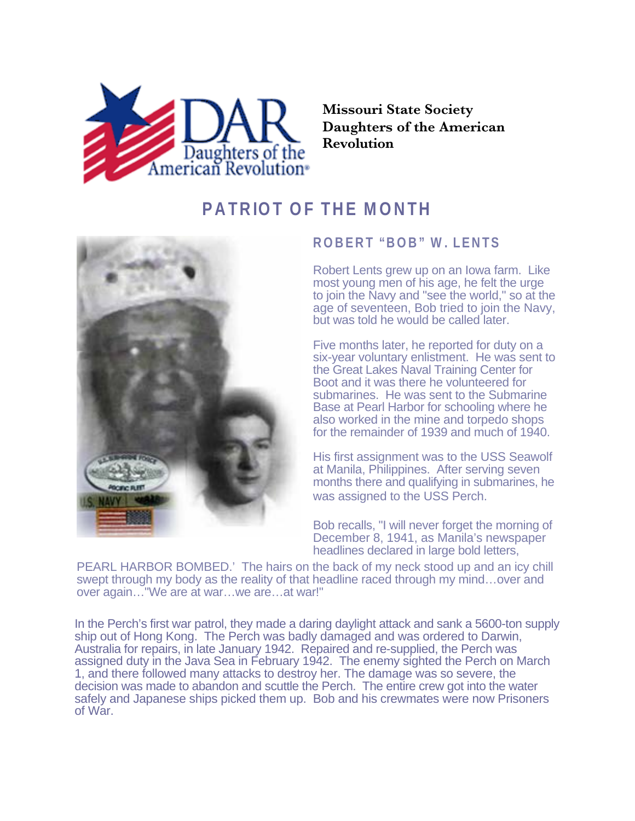

**Missouri State Society Daughters of the American Revolution**

## **PATRIOT OF THE MONTH**



## **ROBERT "BOB" W. LENTS**

Robert Lents grew up on an Iowa farm. Like most young men of his age, he felt the urge to join the Navy and "see the world," so at the age of seventeen, Bob tried to join the Navy, but was told he would be called later.

Five months later, he reported for duty on a six-year voluntary enlistment. He was sent to the Great Lakes Naval Training Center for Boot and it was there he volunteered for submarines. He was sent to the Submarine Base at Pearl Harbor for schooling where he also worked in the mine and torpedo shops for the remainder of 1939 and much of 1940.

His first assignment was to the USS Seawolf at Manila, Philippines. After serving seven months there and qualifying in submarines, he was assigned to the USS Perch.

Bob recalls, "I will never forget the morning of December 8, 1941, as Manila's newspaper headlines declared in large bold letters,

PEARL HARBOR BOMBED.' The hairs on the back of my neck stood up and an icy chill swept through my body as the reality of that headline raced through my mind…over and over again…"We are at war…we are…at war!"

In the Perch's first war patrol, they made a daring daylight attack and sank a 5600-ton supply ship out of Hong Kong. The Perch was badly damaged and was ordered to Darwin, Australia for repairs, in late January 1942. Repaired and re-supplied, the Perch was assigned duty in the Java Sea in February 1942. The enemy sighted the Perch on March 1, and there followed many attacks to destroy her. The damage was so severe, the decision was made to abandon and scuttle the Perch. The entire crew got into the water safely and Japanese ships picked them up. Bob and his crewmates were now Prisoners of War.